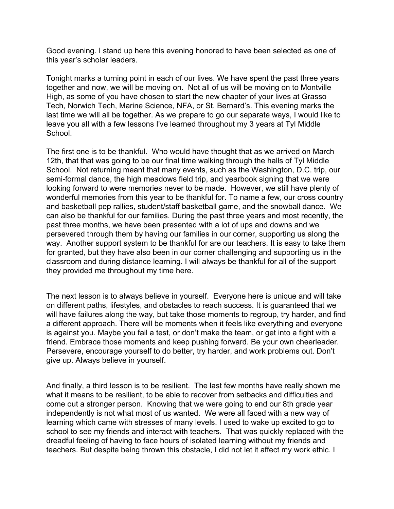Good evening. I stand up here this evening honored to have been selected as one of this year's scholar leaders.

Tonight marks a turning point in each of our lives. We have spent the past three years together and now, we will be moving on. Not all of us will be moving on to Montville High, as some of you have chosen to start the new chapter of your lives at Grasso Tech, Norwich Tech, Marine Science, NFA, or St. Bernard's. This evening marks the last time we will all be together. As we prepare to go our separate ways, I would like to leave you all with a few lessons I've learned throughout my 3 years at Tyl Middle School.

The first one is to be thankful. Who would have thought that as we arrived on March 12th, that that was going to be our final time walking through the halls of Tyl Middle School. Not returning meant that many events, such as the Washington, D.C. trip, our semi-formal dance, the high meadows field trip, and yearbook signing that we were looking forward to were memories never to be made. However, we still have plenty of wonderful memories from this year to be thankful for. To name a few, our cross country and basketball pep rallies, student/staff basketball game, and the snowball dance. We can also be thankful for our families. During the past three years and most recently, the past three months, we have been presented with a lot of ups and downs and we persevered through them by having our families in our corner, supporting us along the way. Another support system to be thankful for are our teachers. It is easy to take them for granted, but they have also been in our corner challenging and supporting us in the classroom and during distance learning. I will always be thankful for all of the support they provided me throughout my time here.

The next lesson is to always believe in yourself. Everyone here is unique and will take on different paths, lifestyles, and obstacles to reach success. It is guaranteed that we will have failures along the way, but take those moments to regroup, try harder, and find a different approach. There will be moments when it feels like everything and everyone is against you. Maybe you fail a test, or don't make the team, or get into a fight with a friend. Embrace those moments and keep pushing forward. Be your own cheerleader. Persevere, encourage yourself to do better, try harder, and work problems out. Don't give up. Always believe in yourself.

And finally, a third lesson is to be resilient. The last few months have really shown me what it means to be resilient, to be able to recover from setbacks and difficulties and come out a stronger person. Knowing that we were going to end our 8th grade year independently is not what most of us wanted. We were all faced with a new way of learning which came with stresses of many levels. I used to wake up excited to go to school to see my friends and interact with teachers. That was quickly replaced with the dreadful feeling of having to face hours of isolated learning without my friends and teachers. But despite being thrown this obstacle, I did not let it affect my work ethic. I